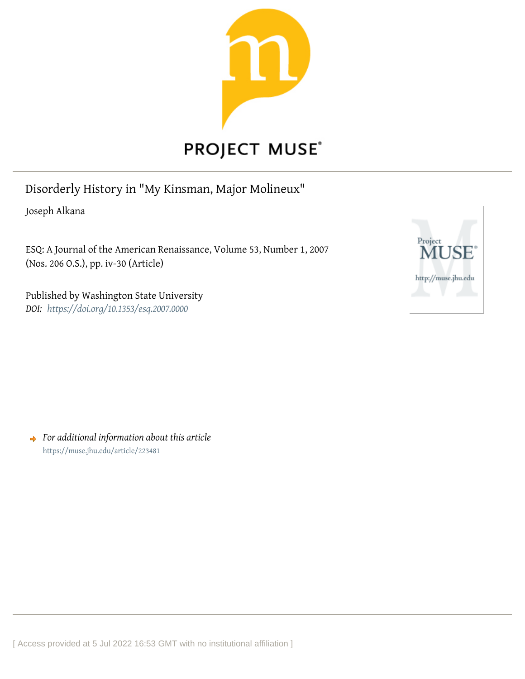

# **PROJECT MUSE®**

Disorderly History in "My Kinsman, Major Molineux"

Joseph Alkana

ESQ: A Journal of the American Renaissance, Volume 53, Number 1, 2007 (Nos. 206 O.S.), pp. iv-30 (Article)

Published by Washington State University *DOI: <https://doi.org/10.1353/esq.2007.0000>*



*For additional information about this article* <https://muse.jhu.edu/article/223481>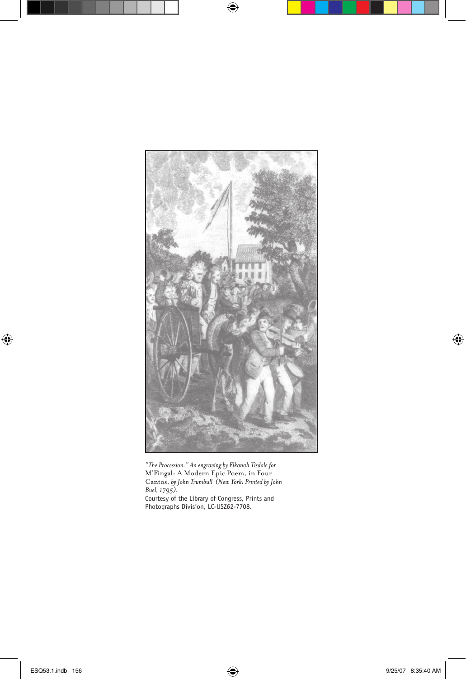

*"The Procession." An engraving by Elkanah Tisdale for*  M'Fingal: A Modern Epic Poem, in Four Cantos, *by John Trumbull (New York: Printed by John Buel, 1795).*  Courtesy of the Library of Congress, Prints and Photographs Division, LC-USZ62-7708.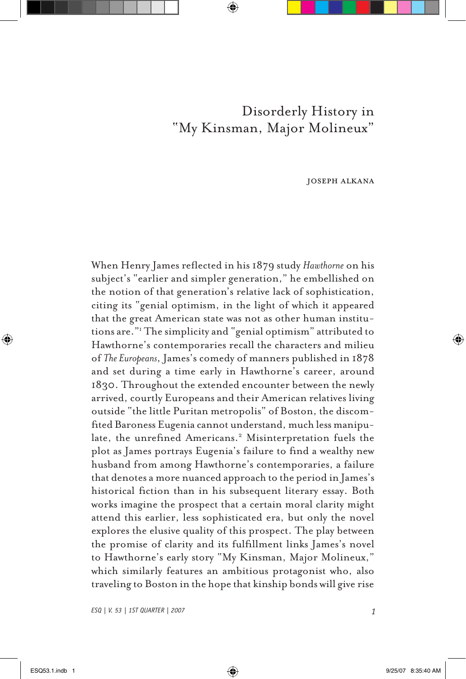# Disorderly History in "My Kinsman, Major Molineux"

joseph alkana

When Henry James reflected in his 1879 study *Hawthorne* on his subject's "earlier and simpler generation," he embellished on the notion of that generation's relative lack of sophistication, citing its "genial optimism, in the light of which it appeared that the great American state was not as other human institutions are."1 The simplicity and "genial optimism" attributed to Hawthorne's contemporaries recall the characters and milieu of *The Europeans*, James's comedy of manners published in 1878 and set during a time early in Hawthorne's career, around 1830. Throughout the extended encounter between the newly arrived, courtly Europeans and their American relatives living outside "the little Puritan metropolis" of Boston, the discomfited Baroness Eugenia cannot understand, much less manipulate, the unrefined Americans.<sup>2</sup> Misinterpretation fuels the plot as James portrays Eugenia's failure to find a wealthy new husband from among Hawthorne's contemporaries, a failure that denotes a more nuanced approach to the period in James's historical fiction than in his subsequent literary essay. Both works imagine the prospect that a certain moral clarity might attend this earlier, less sophisticated era, but only the novel explores the elusive quality of this prospect. The play between the promise of clarity and its fulfillment links James's novel to Hawthorne's early story "My Kinsman, Major Molineux," which similarly features an ambitious protagonist who, also traveling to Boston in the hope that kinship bonds will give rise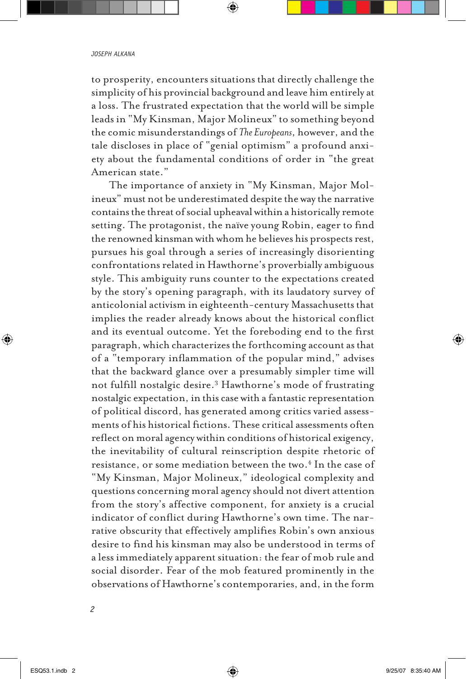to prosperity, encounters situations that directly challenge the simplicity of his provincial background and leave him entirely at a loss. The frustrated expectation that the world will be simple leads in "My Kinsman, Major Molineux" to something beyond the comic misunderstandings of *The Europeans*, however, and the tale discloses in place of "genial optimism" a profound anxiety about the fundamental conditions of order in "the great American state."

The importance of anxiety in "My Kinsman, Major Molineux" must not be underestimated despite the way the narrative contains the threat of social upheaval within a historically remote setting. The protagonist, the naïve young Robin, eager to find the renowned kinsman with whom he believes his prospects rest, pursues his goal through a series of increasingly disorienting confrontations related in Hawthorne's proverbially ambiguous style. This ambiguity runs counter to the expectations created by the story's opening paragraph, with its laudatory survey of anticolonial activism in eighteenth-century Massachusetts that implies the reader already knows about the historical conflict and its eventual outcome. Yet the foreboding end to the first paragraph, which characterizes the forthcoming account as that of a "temporary inflammation of the popular mind," advises that the backward glance over a presumably simpler time will not fulfill nostalgic desire.3 Hawthorne's mode of frustrating nostalgic expectation, in this case with a fantastic representation of political discord, has generated among critics varied assessments of his historical fictions. These critical assessments often reflect on moral agency within conditions of historical exigency, the inevitability of cultural reinscription despite rhetoric of resistance, or some mediation between the two.4 In the case of "My Kinsman, Major Molineux," ideological complexity and questions concerning moral agency should not divert attention from the story's affective component, for anxiety is a crucial indicator of conflict during Hawthorne's own time. The narrative obscurity that effectively amplifies Robin's own anxious desire to find his kinsman may also be understood in terms of a less immediately apparent situation: the fear of mob rule and social disorder. Fear of the mob featured prominently in the observations of Hawthorne's contemporaries, and, in the form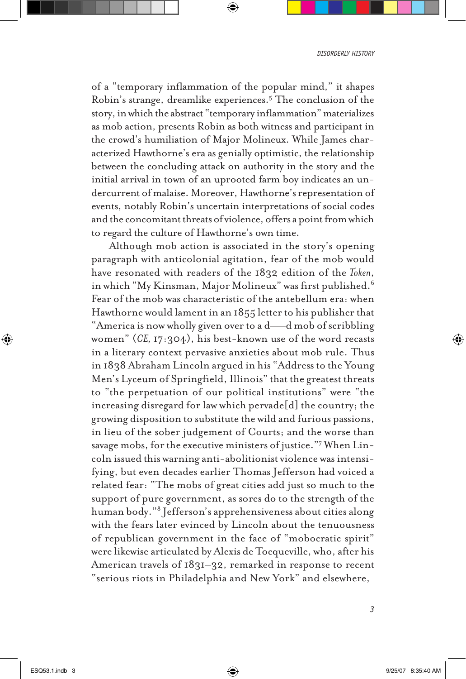of a "temporary inflammation of the popular mind," it shapes Robin's strange, dreamlike experiences.5 The conclusion of the story, in which the abstract "temporary inflammation" materializes as mob action, presents Robin as both witness and participant in the crowd's humiliation of Major Molineux. While James characterized Hawthorne's era as genially optimistic, the relationship between the concluding attack on authority in the story and the initial arrival in town of an uprooted farm boy indicates an undercurrent of malaise. Moreover, Hawthorne's representation of events, notably Robin's uncertain interpretations of social codes and the concomitant threats of violence, offers a point from which to regard the culture of Hawthorne's own time.

Although mob action is associated in the story's opening paragraph with anticolonial agitation, fear of the mob would have resonated with readers of the 1832 edition of the *Token*, in which "My Kinsman, Major Molineux" was first published.6 Fear of the mob was characteristic of the antebellum era: when Hawthorne would lament in an 1855 letter to his publisher that "America is now wholly given over to a d——d mob of scribbling women" (*CE,* 17:304), his best-known use of the word recasts in a literary context pervasive anxieties about mob rule. Thus in 1838 Abraham Lincoln argued in his "Address to the Young Men's Lyceum of Springfield, Illinois" that the greatest threats to "the perpetuation of our political institutions" were "the increasing disregard for law which pervade[d] the country; the growing disposition to substitute the wild and furious passions, in lieu of the sober judgement of Courts; and the worse than savage mobs, for the executive ministers of justice."<sup>7</sup> When Lincoln issued this warning anti-abolitionist violence was intensifying, but even decades earlier Thomas Jefferson had voiced a related fear: "The mobs of great cities add just so much to the support of pure government, as sores do to the strength of the human body."8 Jefferson's apprehensiveness about cities along with the fears later evinced by Lincoln about the tenuousness of republican government in the face of "mobocratic spirit" were likewise articulated by Alexis de Tocqueville, who, after his American travels of 1831–32, remarked in response to recent "serious riots in Philadelphia and New York" and elsewhere,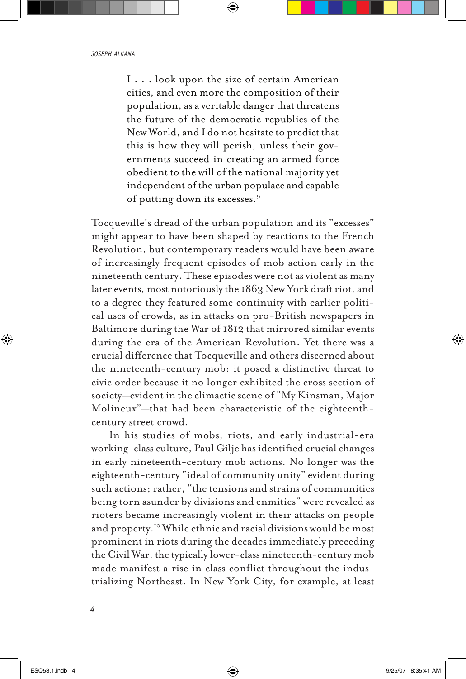I . . . look upon the size of certain American cities, and even more the composition of their population, as a veritable danger that threatens the future of the democratic republics of the New World, and I do not hesitate to predict that this is how they will perish, unless their governments succeed in creating an armed force obedient to the will of the national majority yet independent of the urban populace and capable of putting down its excesses.9

Tocqueville's dread of the urban population and its "excesses" might appear to have been shaped by reactions to the French Revolution, but contemporary readers would have been aware of increasingly frequent episodes of mob action early in the nineteenth century. These episodes were not as violent as many later events, most notoriously the 1863 New York draft riot, and to a degree they featured some continuity with earlier political uses of crowds, as in attacks on pro-British newspapers in Baltimore during the War of 1812 that mirrored similar events during the era of the American Revolution. Yet there was a crucial difference that Tocqueville and others discerned about the nineteenth-century mob: it posed a distinctive threat to civic order because it no longer exhibited the cross section of society—evident in the climactic scene of "My Kinsman, Major Molineux"—that had been characteristic of the eighteenthcentury street crowd.

In his studies of mobs, riots, and early industrial-era working-class culture, Paul Gilje has identified crucial changes in early nineteenth-century mob actions. No longer was the eighteenth-century "ideal of community unity" evident during such actions; rather, "the tensions and strains of communities being torn asunder by divisions and enmities" were revealed as rioters became increasingly violent in their attacks on people and property.<sup>10</sup> While ethnic and racial divisions would be most prominent in riots during the decades immediately preceding the Civil War, the typically lower-class nineteenth-century mob made manifest a rise in class conflict throughout the industrializing Northeast. In New York City, for example, at least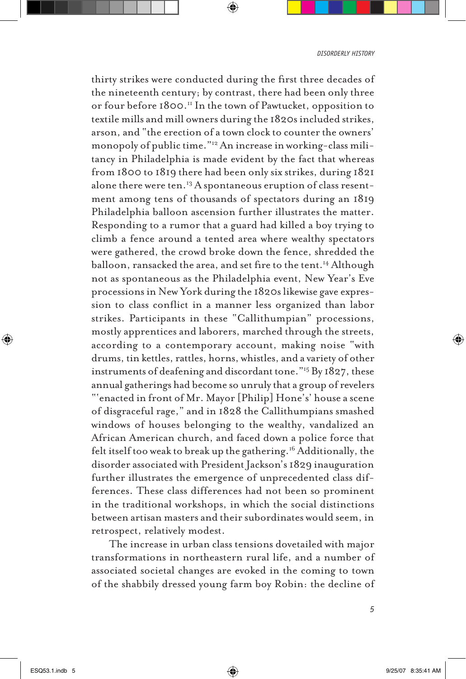*disorderly history*

thirty strikes were conducted during the first three decades of the nineteenth century; by contrast, there had been only three or four before 1800.<sup>11</sup> In the town of Pawtucket, opposition to textile mills and mill owners during the 1820s included strikes, arson, and "the erection of a town clock to counter the owners' monopoly of public time."12 An increase in working-class militancy in Philadelphia is made evident by the fact that whereas from 1800 to 1819 there had been only six strikes, during 1821 alone there were ten.<sup>13</sup> A spontaneous eruption of class resentment among tens of thousands of spectators during an 1819 Philadelphia balloon ascension further illustrates the matter. Responding to a rumor that a guard had killed a boy trying to climb a fence around a tented area where wealthy spectators were gathered, the crowd broke down the fence, shredded the balloon, ransacked the area, and set fire to the tent.<sup>14</sup> Although not as spontaneous as the Philadelphia event, New Year's Eve processions in New York during the 1820s likewise gave expression to class conflict in a manner less organized than labor strikes. Participants in these "Callithumpian" processions, mostly apprentices and laborers, marched through the streets, according to a contemporary account, making noise "with drums, tin kettles, rattles, horns, whistles, and a variety of other instruments of deafening and discordant tone."15 By 1827, these annual gatherings had become so unruly that a group of revelers "'enacted in front of Mr. Mayor [Philip] Hone's' house a scene of disgraceful rage," and in 1828 the Callithumpians smashed windows of houses belonging to the wealthy, vandalized an African American church, and faced down a police force that felt itself too weak to break up the gathering.<sup>16</sup> Additionally, the disorder associated with President Jackson's 1829 inauguration further illustrates the emergence of unprecedented class differences. These class differences had not been so prominent in the traditional workshops, in which the social distinctions between artisan masters and their subordinates would seem, in retrospect, relatively modest.

The increase in urban class tensions dovetailed with major transformations in northeastern rural life, and a number of associated societal changes are evoked in the coming to town of the shabbily dressed young farm boy Robin: the decline of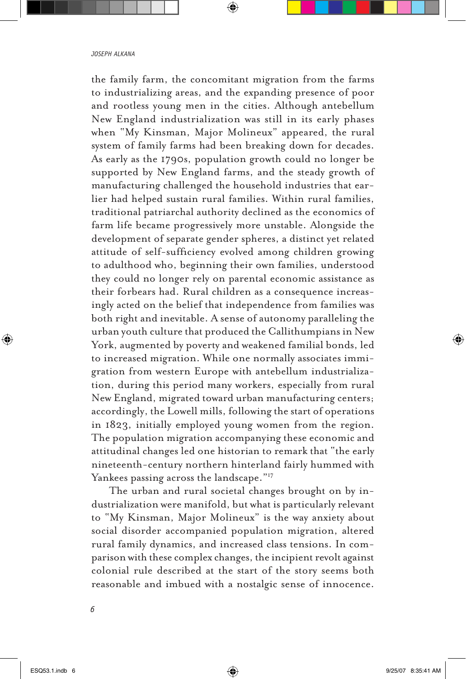the family farm, the concomitant migration from the farms to industrializing areas, and the expanding presence of poor and rootless young men in the cities. Although antebellum New England industrialization was still in its early phases when "My Kinsman, Major Molineux" appeared, the rural system of family farms had been breaking down for decades. As early as the 1790s, population growth could no longer be supported by New England farms, and the steady growth of manufacturing challenged the household industries that earlier had helped sustain rural families. Within rural families, traditional patriarchal authority declined as the economics of farm life became progressively more unstable. Alongside the development of separate gender spheres, a distinct yet related attitude of self-sufficiency evolved among children growing to adulthood who, beginning their own families, understood they could no longer rely on parental economic assistance as their forbears had. Rural children as a consequence increasingly acted on the belief that independence from families was both right and inevitable. A sense of autonomy paralleling the urban youth culture that produced the Callithumpians in New York, augmented by poverty and weakened familial bonds, led to increased migration. While one normally associates immigration from western Europe with antebellum industrialization, during this period many workers, especially from rural New England, migrated toward urban manufacturing centers; accordingly, the Lowell mills, following the start of operations in 1823, initially employed young women from the region. The population migration accompanying these economic and attitudinal changes led one historian to remark that "the early nineteenth-century northern hinterland fairly hummed with Yankees passing across the landscape."<sup>17</sup>

The urban and rural societal changes brought on by industrialization were manifold, but what is particularly relevant to "My Kinsman, Major Molineux" is the way anxiety about social disorder accompanied population migration, altered rural family dynamics, and increased class tensions. In comparison with these complex changes, the incipient revolt against colonial rule described at the start of the story seems both reasonable and imbued with a nostalgic sense of innocence.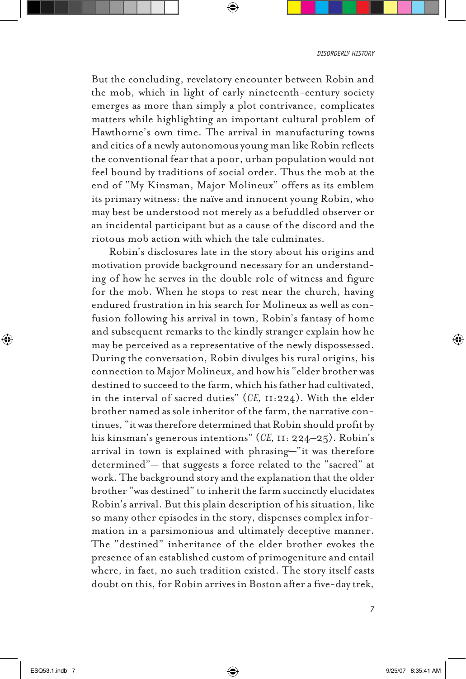*disorderly history*

But the concluding, revelatory encounter between Robin and the mob, which in light of early nineteenth-century society emerges as more than simply a plot contrivance, complicates matters while highlighting an important cultural problem of Hawthorne's own time. The arrival in manufacturing towns and cities of a newly autonomous young man like Robin reflects the conventional fear that a poor, urban population would not feel bound by traditions of social order. Thus the mob at the end of "My Kinsman, Major Molineux" offers as its emblem its primary witness: the naïve and innocent young Robin, who may best be understood not merely as a befuddled observer or an incidental participant but as a cause of the discord and the riotous mob action with which the tale culminates.

Robin's disclosures late in the story about his origins and motivation provide background necessary for an understanding of how he serves in the double role of witness and figure for the mob. When he stops to rest near the church, having endured frustration in his search for Molineux as well as confusion following his arrival in town, Robin's fantasy of home and subsequent remarks to the kindly stranger explain how he may be perceived as a representative of the newly dispossessed. During the conversation, Robin divulges his rural origins, his connection to Major Molineux, and how his "elder brother was destined to succeed to the farm, which his father had cultivated, in the interval of sacred duties" (*CE,* 11:224). With the elder brother named as sole inheritor of the farm, the narrative continues, "it was therefore determined that Robin should profit by his kinsman's generous intentions" (*CE,* 11: 224–25). Robin's arrival in town is explained with phrasing—"it was therefore determined"— that suggests a force related to the "sacred" at work. The background story and the explanation that the older brother "was destined" to inherit the farm succinctly elucidates Robin's arrival. But this plain description of his situation, like so many other episodes in the story, dispenses complex information in a parsimonious and ultimately deceptive manner. The "destined" inheritance of the elder brother evokes the presence of an established custom of primogeniture and entail where, in fact, no such tradition existed. The story itself casts doubt on this, for Robin arrives in Boston after a five-day trek,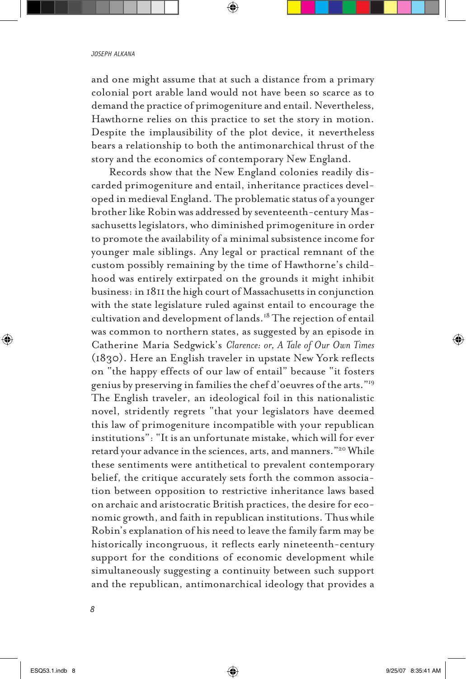and one might assume that at such a distance from a primary colonial port arable land would not have been so scarce as to demand the practice of primogeniture and entail. Nevertheless, Hawthorne relies on this practice to set the story in motion. Despite the implausibility of the plot device, it nevertheless bears a relationship to both the antimonarchical thrust of the story and the economics of contemporary New England.

Records show that the New England colonies readily discarded primogeniture and entail, inheritance practices developed in medieval England. The problematic status of a younger brother like Robin was addressed by seventeenth-century Massachusetts legislators, who diminished primogeniture in order to promote the availability of a minimal subsistence income for younger male siblings. Any legal or practical remnant of the custom possibly remaining by the time of Hawthorne's childhood was entirely extirpated on the grounds it might inhibit business: in 1811 the high court of Massachusetts in conjunction with the state legislature ruled against entail to encourage the cultivation and development of lands.18 The rejection of entail was common to northern states, as suggested by an episode in Catherine Maria Sedgwick's *Clarence: or, A Tale of Our Own Times* (1830). Here an English traveler in upstate New York reflects on "the happy effects of our law of entail" because "it fosters genius by preserving in families the chef d'oeuvres of the arts."19 The English traveler, an ideological foil in this nationalistic novel, stridently regrets "that your legislators have deemed this law of primogeniture incompatible with your republican institutions": "It is an unfortunate mistake, which will for ever retard your advance in the sciences, arts, and manners."20 While these sentiments were antithetical to prevalent contemporary belief, the critique accurately sets forth the common association between opposition to restrictive inheritance laws based on archaic and aristocratic British practices, the desire for economic growth, and faith in republican institutions. Thus while Robin's explanation of his need to leave the family farm may be historically incongruous, it reflects early nineteenth-century support for the conditions of economic development while simultaneously suggesting a continuity between such support and the republican, antimonarchical ideology that provides a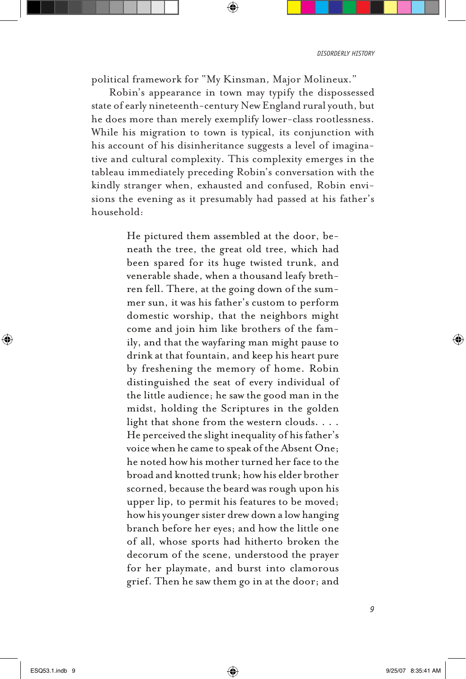political framework for "My Kinsman, Major Molineux."

Robin's appearance in town may typify the dispossessed state of early nineteenth-century New England rural youth, but he does more than merely exemplify lower-class rootlessness. While his migration to town is typical, its conjunction with his account of his disinheritance suggests a level of imaginative and cultural complexity. This complexity emerges in the tableau immediately preceding Robin's conversation with the kindly stranger when, exhausted and confused, Robin envisions the evening as it presumably had passed at his father's household:

> He pictured them assembled at the door, beneath the tree, the great old tree, which had been spared for its huge twisted trunk, and venerable shade, when a thousand leafy brethren fell. There, at the going down of the summer sun, it was his father's custom to perform domestic worship, that the neighbors might come and join him like brothers of the family, and that the wayfaring man might pause to drink at that fountain, and keep his heart pure by freshening the memory of home. Robin distinguished the seat of every individual of the little audience; he saw the good man in the midst, holding the Scriptures in the golden light that shone from the western clouds. . . . He perceived the slight inequality of his father's voice when he came to speak of the Absent One; he noted how his mother turned her face to the broad and knotted trunk; how his elder brother scorned, because the beard was rough upon his upper lip, to permit his features to be moved; how his younger sister drew down a low hanging branch before her eyes; and how the little one of all, whose sports had hitherto broken the decorum of the scene, understood the prayer for her playmate, and burst into clamorous grief. Then he saw them go in at the door; and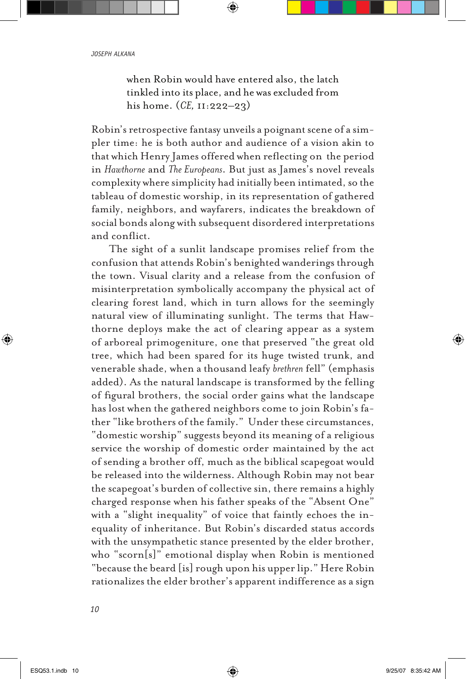when Robin would have entered also, the latch tinkled into its place, and he was excluded from his home. (*CE,* 11:222–23)

Robin's retrospective fantasy unveils a poignant scene of a simpler time: he is both author and audience of a vision akin to that which Henry James offered when reflecting on the period in *Hawthorne* and *The Europeans*. But just as James's novel reveals complexity where simplicity had initially been intimated, so the tableau of domestic worship, in its representation of gathered family, neighbors, and wayfarers, indicates the breakdown of social bonds along with subsequent disordered interpretations and conflict.

The sight of a sunlit landscape promises relief from the confusion that attends Robin's benighted wanderings through the town. Visual clarity and a release from the confusion of misinterpretation symbolically accompany the physical act of clearing forest land, which in turn allows for the seemingly natural view of illuminating sunlight. The terms that Hawthorne deploys make the act of clearing appear as a system of arboreal primogeniture, one that preserved "the great old tree, which had been spared for its huge twisted trunk, and venerable shade, when a thousand leafy *brethren* fell" (emphasis added). As the natural landscape is transformed by the felling of figural brothers, the social order gains what the landscape has lost when the gathered neighbors come to join Robin's father "like brothers of the family." Under these circumstances, "domestic worship" suggests beyond its meaning of a religious service the worship of domestic order maintained by the act of sending a brother off, much as the biblical scapegoat would be released into the wilderness. Although Robin may not bear the scapegoat's burden of collective sin, there remains a highly charged response when his father speaks of the "Absent One" with a "slight inequality" of voice that faintly echoes the inequality of inheritance. But Robin's discarded status accords with the unsympathetic stance presented by the elder brother, who "scorn[s]" emotional display when Robin is mentioned "because the beard [is] rough upon his upper lip." Here Robin rationalizes the elder brother's apparent indifference as a sign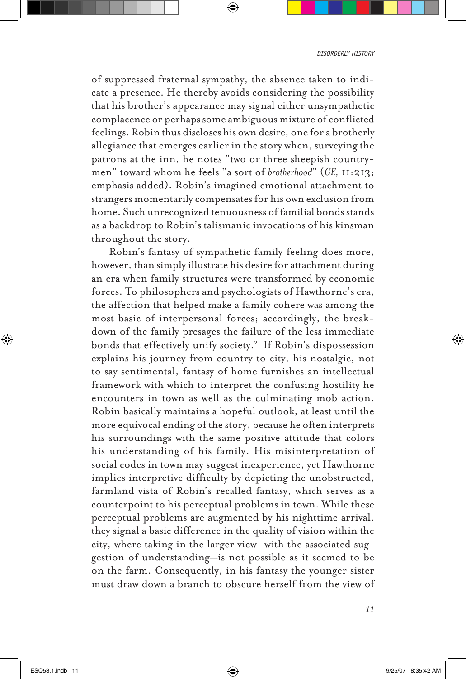of suppressed fraternal sympathy, the absence taken to indicate a presence. He thereby avoids considering the possibility that his brother's appearance may signal either unsympathetic complacence or perhaps some ambiguous mixture of conflicted feelings. Robin thus discloses his own desire, one for a brotherly allegiance that emerges earlier in the story when, surveying the patrons at the inn, he notes "two or three sheepish countrymen" toward whom he feels "a sort of *brotherhood*" (*CE,* 11:213; emphasis added). Robin's imagined emotional attachment to strangers momentarily compensates for his own exclusion from home. Such unrecognized tenuousness of familial bonds stands as a backdrop to Robin's talismanic invocations of his kinsman throughout the story.

Robin's fantasy of sympathetic family feeling does more, however, than simply illustrate his desire for attachment during an era when family structures were transformed by economic forces. To philosophers and psychologists of Hawthorne's era, the affection that helped make a family cohere was among the most basic of interpersonal forces; accordingly, the breakdown of the family presages the failure of the less immediate bonds that effectively unify society.21 If Robin's dispossession explains his journey from country to city, his nostalgic, not to say sentimental, fantasy of home furnishes an intellectual framework with which to interpret the confusing hostility he encounters in town as well as the culminating mob action. Robin basically maintains a hopeful outlook, at least until the more equivocal ending of the story, because he often interprets his surroundings with the same positive attitude that colors his understanding of his family. His misinterpretation of social codes in town may suggest inexperience, yet Hawthorne implies interpretive difficulty by depicting the unobstructed, farmland vista of Robin's recalled fantasy, which serves as a counterpoint to his perceptual problems in town. While these perceptual problems are augmented by his nighttime arrival, they signal a basic difference in the quality of vision within the city, where taking in the larger view—with the associated suggestion of understanding—is not possible as it seemed to be on the farm. Consequently, in his fantasy the younger sister must draw down a branch to obscure herself from the view of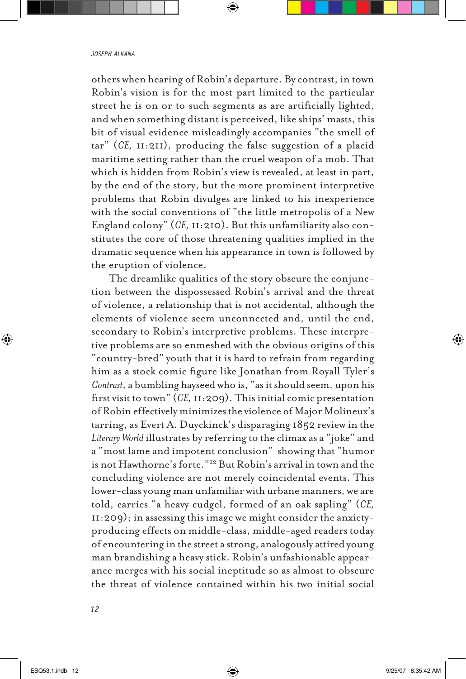others when hearing of Robin's departure. By contrast, in town Robin's vision is for the most part limited to the particular street he is on or to such segments as are artificially lighted, and when something distant is perceived, like ships' masts, this bit of visual evidence misleadingly accompanies "the smell of tar" (*CE,* 11:211), producing the false suggestion of a placid maritime setting rather than the cruel weapon of a mob. That which is hidden from Robin's view is revealed, at least in part, by the end of the story, but the more prominent interpretive problems that Robin divulges are linked to his inexperience with the social conventions of "the little metropolis of a New England colony" (*CE,* 11:210). But this unfamiliarity also constitutes the core of those threatening qualities implied in the dramatic sequence when his appearance in town is followed by the eruption of violence.

The dreamlike qualities of the story obscure the conjunction between the dispossessed Robin's arrival and the threat of violence, a relationship that is not accidental, although the elements of violence seem unconnected and, until the end, secondary to Robin's interpretive problems. These interpretive problems are so enmeshed with the obvious origins of this "country-bred" youth that it is hard to refrain from regarding him as a stock comic figure like Jonathan from Royall Tyler's *Contrast*, a bumbling hayseed who is, "as it should seem, upon his first visit to town" (*CE,* 11:209). This initial comic presentation of Robin effectively minimizes the violence of Major Molineux's tarring, as Evert A. Duyckinck's disparaging 1852 review in the *Literary World* illustrates by referring to the climax as a "joke" and a "most lame and impotent conclusion" showing that "humor is not Hawthorne's forte."22 But Robin's arrival in town and the concluding violence are not merely coincidental events. This lower-class young man unfamiliar with urbane manners, we are told, carries "a heavy cudgel, formed of an oak sapling" (*CE,* 11:209); in assessing this image we might consider the anxietyproducing effects on middle-class, middle-aged readers today of encountering in the street a strong, analogously attired young man brandishing a heavy stick. Robin's unfashionable appearance merges with his social ineptitude so as almost to obscure the threat of violence contained within his two initial social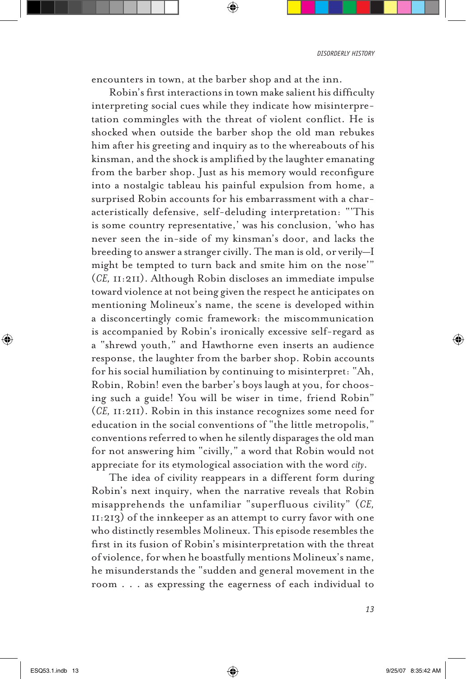encounters in town, at the barber shop and at the inn.

Robin's first interactions in town make salient his difficulty interpreting social cues while they indicate how misinterpretation commingles with the threat of violent conflict. He is shocked when outside the barber shop the old man rebukes him after his greeting and inquiry as to the whereabouts of his kinsman, and the shock is amplified by the laughter emanating from the barber shop. Just as his memory would reconfigure into a nostalgic tableau his painful expulsion from home, a surprised Robin accounts for his embarrassment with a characteristically defensive, self-deluding interpretation: "'This is some country representative,' was his conclusion, 'who has never seen the in-side of my kinsman's door, and lacks the breeding to answer a stranger civilly. The man is old, or verily—I might be tempted to turn back and smite him on the nose'" (*CE,* 11:211). Although Robin discloses an immediate impulse toward violence at not being given the respect he anticipates on mentioning Molineux's name, the scene is developed within a disconcertingly comic framework: the miscommunication is accompanied by Robin's ironically excessive self-regard as a "shrewd youth," and Hawthorne even inserts an audience response, the laughter from the barber shop. Robin accounts for his social humiliation by continuing to misinterpret: "Ah, Robin, Robin! even the barber's boys laugh at you, for choosing such a guide! You will be wiser in time, friend Robin" (*CE,* 11:211). Robin in this instance recognizes some need for education in the social conventions of "the little metropolis," conventions referred to when he silently disparages the old man for not answering him "civilly," a word that Robin would not appreciate for its etymological association with the word *city*.

The idea of civility reappears in a different form during Robin's next inquiry, when the narrative reveals that Robin misapprehends the unfamiliar "superfluous civility" (*CE,* 11:213) of the innkeeper as an attempt to curry favor with one who distinctly resembles Molineux. This episode resembles the first in its fusion of Robin's misinterpretation with the threat of violence, for when he boastfully mentions Molineux's name, he misunderstands the "sudden and general movement in the room . . . as expressing the eagerness of each individual to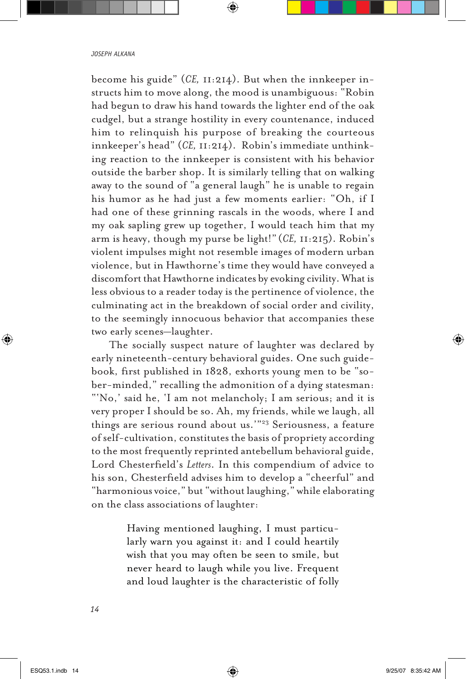become his guide" (*CE,* 11:214). But when the innkeeper instructs him to move along, the mood is unambiguous: "Robin had begun to draw his hand towards the lighter end of the oak cudgel, but a strange hostility in every countenance, induced him to relinquish his purpose of breaking the courteous innkeeper's head" (*CE,* 11:214). Robin's immediate unthinking reaction to the innkeeper is consistent with his behavior outside the barber shop. It is similarly telling that on walking away to the sound of "a general laugh" he is unable to regain his humor as he had just a few moments earlier: "Oh, if I had one of these grinning rascals in the woods, where I and my oak sapling grew up together, I would teach him that my arm is heavy, though my purse be light!" (*CE,* 11:215). Robin's violent impulses might not resemble images of modern urban violence, but in Hawthorne's time they would have conveyed a discomfort that Hawthorne indicates by evoking civility. What is less obvious to a reader today is the pertinence of violence, the culminating act in the breakdown of social order and civility, to the seemingly innocuous behavior that accompanies these two early scenes—laughter.

The socially suspect nature of laughter was declared by early nineteenth-century behavioral guides. One such guidebook, first published in 1828, exhorts young men to be "sober-minded," recalling the admonition of a dying statesman: "'No,' said he, 'I am not melancholy; I am serious; and it is very proper I should be so. Ah, my friends, while we laugh, all things are serious round about us.'"23 Seriousness, a feature of self-cultivation, constitutes the basis of propriety according to the most frequently reprinted antebellum behavioral guide, Lord Chesterfield's *Letters*. In this compendium of advice to his son, Chesterfield advises him to develop a "cheerful" and "harmonious voice," but "without laughing," while elaborating on the class associations of laughter:

> Having mentioned laughing, I must particularly warn you against it: and I could heartily wish that you may often be seen to smile, but never heard to laugh while you live. Frequent and loud laughter is the characteristic of folly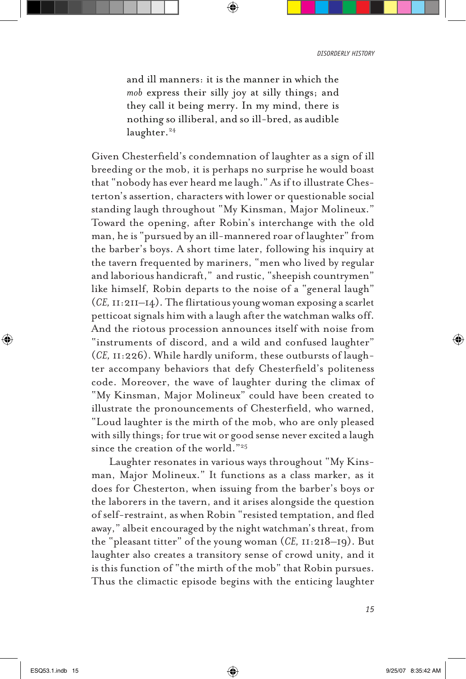and ill manners: it is the manner in which the *mob* express their silly joy at silly things; and they call it being merry. In my mind, there is nothing so illiberal, and so ill-bred, as audible laughter.<sup>24</sup>

Given Chesterfield's condemnation of laughter as a sign of ill breeding or the mob, it is perhaps no surprise he would boast that "nobody has ever heard me laugh." As if to illustrate Chesterton's assertion, characters with lower or questionable social standing laugh throughout "My Kinsman, Major Molineux." Toward the opening, after Robin's interchange with the old man, he is "pursued by an ill-mannered roar of laughter" from the barber's boys. A short time later, following his inquiry at the tavern frequented by mariners, "men who lived by regular and laborious handicraft," and rustic, "sheepish countrymen" like himself, Robin departs to the noise of a "general laugh" (*CE,* 11:211–14). The flirtatious young woman exposing a scarlet petticoat signals him with a laugh after the watchman walks off. And the riotous procession announces itself with noise from "instruments of discord, and a wild and confused laughter" (*CE,* 11:226). While hardly uniform, these outbursts of laughter accompany behaviors that defy Chesterfield's politeness code. Moreover, the wave of laughter during the climax of "My Kinsman, Major Molineux" could have been created to illustrate the pronouncements of Chesterfield, who warned, "Loud laughter is the mirth of the mob, who are only pleased with silly things; for true wit or good sense never excited a laugh since the creation of the world."25

Laughter resonates in various ways throughout "My Kinsman, Major Molineux." It functions as a class marker, as it does for Chesterton, when issuing from the barber's boys or the laborers in the tavern, and it arises alongside the question of self-restraint, as when Robin "resisted temptation, and fled away," albeit encouraged by the night watchman's threat, from the "pleasant titter" of the young woman (*CE,* 11:218–19). But laughter also creates a transitory sense of crowd unity, and it is this function of "the mirth of the mob" that Robin pursues. Thus the climactic episode begins with the enticing laughter

*15*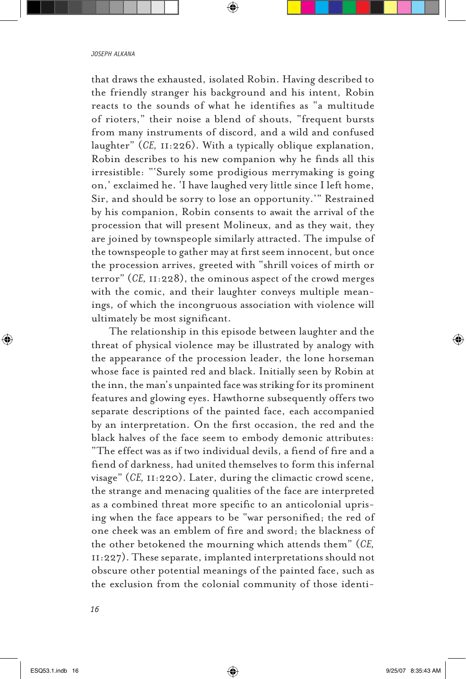that draws the exhausted, isolated Robin. Having described to the friendly stranger his background and his intent, Robin reacts to the sounds of what he identifies as "a multitude of rioters," their noise a blend of shouts, "frequent bursts from many instruments of discord, and a wild and confused laughter" (*CE,* 11:226). With a typically oblique explanation, Robin describes to his new companion why he finds all this irresistible: "'Surely some prodigious merrymaking is going on,' exclaimed he. 'I have laughed very little since I left home, Sir, and should be sorry to lose an opportunity.'" Restrained by his companion, Robin consents to await the arrival of the procession that will present Molineux, and as they wait, they are joined by townspeople similarly attracted. The impulse of the townspeople to gather may at first seem innocent, but once the procession arrives, greeted with "shrill voices of mirth or terror" (*CE,* 11:228), the ominous aspect of the crowd merges with the comic, and their laughter conveys multiple meanings, of which the incongruous association with violence will ultimately be most significant.

The relationship in this episode between laughter and the threat of physical violence may be illustrated by analogy with the appearance of the procession leader, the lone horseman whose face is painted red and black. Initially seen by Robin at the inn, the man's unpainted face was striking for its prominent features and glowing eyes. Hawthorne subsequently offers two separate descriptions of the painted face, each accompanied by an interpretation. On the first occasion, the red and the black halves of the face seem to embody demonic attributes: "The effect was as if two individual devils, a fiend of fire and a fiend of darkness, had united themselves to form this infernal visage" (*CE,* 11:220). Later, during the climactic crowd scene, the strange and menacing qualities of the face are interpreted as a combined threat more specific to an anticolonial uprising when the face appears to be "war personified; the red of one cheek was an emblem of fire and sword; the blackness of the other betokened the mourning which attends them" (*CE,* 11:227). These separate, implanted interpretations should not obscure other potential meanings of the painted face, such as the exclusion from the colonial community of those identi-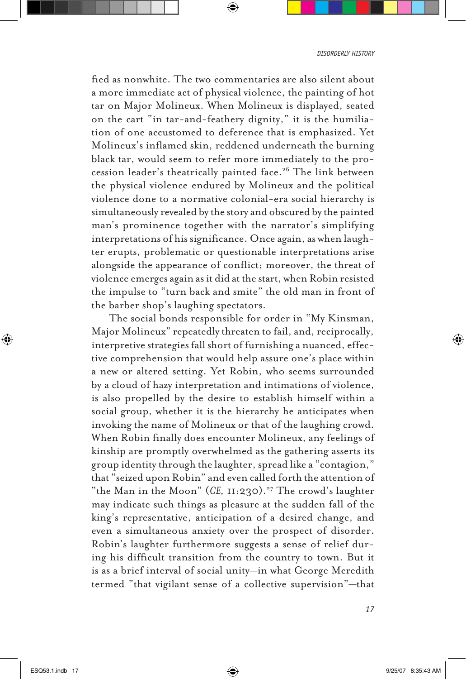*disorderly history*

fied as nonwhite. The two commentaries are also silent about a more immediate act of physical violence, the painting of hot tar on Major Molineux. When Molineux is displayed, seated on the cart "in tar-and-feathery dignity," it is the humiliation of one accustomed to deference that is emphasized. Yet Molineux's inflamed skin, reddened underneath the burning black tar, would seem to refer more immediately to the procession leader's theatrically painted face.<sup>26</sup> The link between the physical violence endured by Molineux and the political violence done to a normative colonial-era social hierarchy is simultaneously revealed by the story and obscured by the painted man's prominence together with the narrator's simplifying interpretations of his significance. Once again, as when laughter erupts, problematic or questionable interpretations arise alongside the appearance of conflict; moreover, the threat of violence emerges again as it did at the start, when Robin resisted the impulse to "turn back and smite" the old man in front of the barber shop's laughing spectators.

The social bonds responsible for order in "My Kinsman, Major Molineux" repeatedly threaten to fail, and, reciprocally, interpretive strategies fall short of furnishing a nuanced, effective comprehension that would help assure one's place within a new or altered setting. Yet Robin, who seems surrounded by a cloud of hazy interpretation and intimations of violence, is also propelled by the desire to establish himself within a social group, whether it is the hierarchy he anticipates when invoking the name of Molineux or that of the laughing crowd. When Robin finally does encounter Molineux, any feelings of kinship are promptly overwhelmed as the gathering asserts its group identity through the laughter, spread like a "contagion," that "seized upon Robin" and even called forth the attention of "the Man in the Moon" (CE, II:230).<sup>27</sup> The crowd's laughter may indicate such things as pleasure at the sudden fall of the king's representative, anticipation of a desired change, and even a simultaneous anxiety over the prospect of disorder. Robin's laughter furthermore suggests a sense of relief during his difficult transition from the country to town. But it is as a brief interval of social unity—in what George Meredith termed "that vigilant sense of a collective supervision"—that

*17*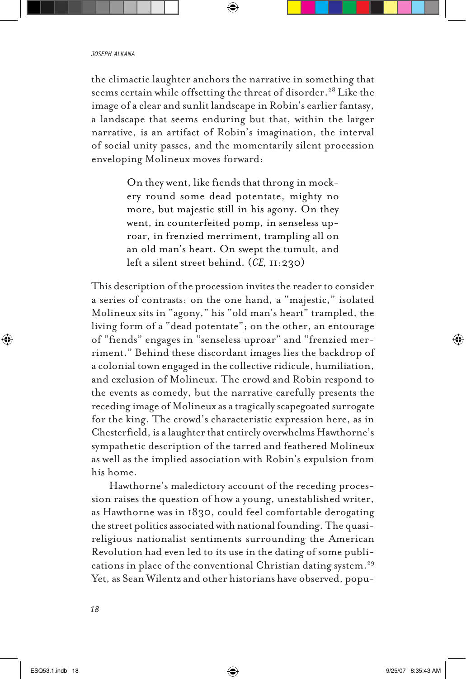the climactic laughter anchors the narrative in something that seems certain while offsetting the threat of disorder.<sup>28</sup> Like the image of a clear and sunlit landscape in Robin's earlier fantasy, a landscape that seems enduring but that, within the larger narrative, is an artifact of Robin's imagination, the interval of social unity passes, and the momentarily silent procession enveloping Molineux moves forward:

> On they went, like fiends that throng in mockery round some dead potentate, mighty no more, but majestic still in his agony. On they went, in counterfeited pomp, in senseless uproar, in frenzied merriment, trampling all on an old man's heart. On swept the tumult, and left a silent street behind. (*CE,* 11:230)

This description of the procession invites the reader to consider a series of contrasts: on the one hand, a "majestic," isolated Molineux sits in "agony," his "old man's heart" trampled, the living form of a "dead potentate"; on the other, an entourage of "fiends" engages in "senseless uproar" and "frenzied merriment." Behind these discordant images lies the backdrop of a colonial town engaged in the collective ridicule, humiliation, and exclusion of Molineux. The crowd and Robin respond to the events as comedy, but the narrative carefully presents the receding image of Molineux as a tragically scapegoated surrogate for the king. The crowd's characteristic expression here, as in Chesterfield, is a laughter that entirely overwhelms Hawthorne's sympathetic description of the tarred and feathered Molineux as well as the implied association with Robin's expulsion from his home.

Hawthorne's maledictory account of the receding procession raises the question of how a young, unestablished writer, as Hawthorne was in 1830, could feel comfortable derogating the street politics associated with national founding. The quasireligious nationalist sentiments surrounding the American Revolution had even led to its use in the dating of some publications in place of the conventional Christian dating system.<sup>29</sup> Yet, as Sean Wilentz and other historians have observed, popu-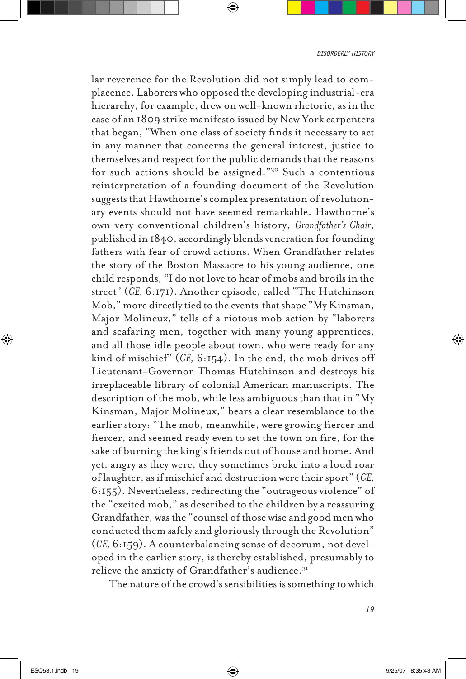lar reverence for the Revolution did not simply lead to complacence. Laborers who opposed the developing industrial-era hierarchy, for example, drew on well-known rhetoric, as in the case of an 1809 strike manifesto issued by New York carpenters that began, "When one class of society finds it necessary to act in any manner that concerns the general interest, justice to themselves and respect for the public demands that the reasons for such actions should be assigned."30 Such a contentious reinterpretation of a founding document of the Revolution suggests that Hawthorne's complex presentation of revolutionary events should not have seemed remarkable. Hawthorne's own very conventional children's history, *Grandfather's Chair*, published in 1840, accordingly blends veneration for founding fathers with fear of crowd actions. When Grandfather relates the story of the Boston Massacre to his young audience, one child responds, "I do not love to hear of mobs and broils in the street" (*CE,* 6:171). Another episode, called "The Hutchinson Mob," more directly tied to the events that shape "My Kinsman, Major Molineux," tells of a riotous mob action by "laborers and seafaring men, together with many young apprentices, and all those idle people about town, who were ready for any kind of mischief" (*CE,* 6:154). In the end, the mob drives off Lieutenant-Governor Thomas Hutchinson and destroys his irreplaceable library of colonial American manuscripts. The description of the mob, while less ambiguous than that in "My Kinsman, Major Molineux," bears a clear resemblance to the earlier story: "The mob, meanwhile, were growing fiercer and fiercer, and seemed ready even to set the town on fire, for the sake of burning the king's friends out of house and home. And yet, angry as they were, they sometimes broke into a loud roar of laughter, as if mischief and destruction were their sport" (*CE,* 6:155). Nevertheless, redirecting the "outrageous violence" of the "excited mob," as described to the children by a reassuring Grandfather, was the "counsel of those wise and good men who conducted them safely and gloriously through the Revolution" (*CE,* 6:159). A counterbalancing sense of decorum, not developed in the earlier story, is thereby established, presumably to relieve the anxiety of Grandfather's audience.<sup>31</sup>

The nature of the crowd's sensibilities is something to which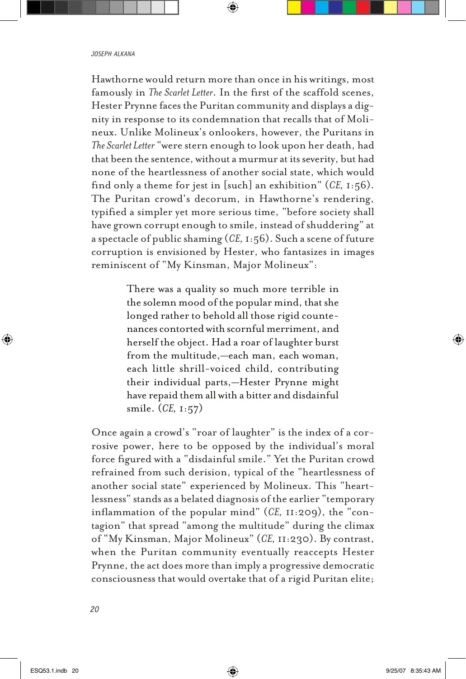Hawthorne would return more than once in his writings, most famously in *The Scarlet Letter*. In the first of the scaffold scenes, Hester Prynne faces the Puritan community and displays a dignity in response to its condemnation that recalls that of Molineux. Unlike Molineux's onlookers, however, the Puritans in *The Scarlet Letter* "were stern enough to look upon her death, had that been the sentence, without a murmur at its severity, but had none of the heartlessness of another social state, which would find only a theme for jest in [such] an exhibition" (*CE,* 1:56). The Puritan crowd's decorum, in Hawthorne's rendering, typified a simpler yet more serious time, "before society shall have grown corrupt enough to smile, instead of shuddering" at a spectacle of public shaming (*CE,* 1:56). Such a scene of future corruption is envisioned by Hester, who fantasizes in images reminiscent of "My Kinsman, Major Molineux":

> There was a quality so much more terrible in the solemn mood of the popular mind, that she longed rather to behold all those rigid countenances contorted with scornful merriment, and herself the object. Had a roar of laughter burst from the multitude,—each man, each woman, each little shrill-voiced child, contributing their individual parts,—Hester Prynne might have repaid them all with a bitter and disdainful smile. (*CE,* 1:57)

Once again a crowd's "roar of laughter" is the index of a corrosive power, here to be opposed by the individual's moral force figured with a "disdainful smile." Yet the Puritan crowd refrained from such derision, typical of the "heartlessness of another social state" experienced by Molineux. This "heartlessness" stands as a belated diagnosis of the earlier "temporary inflammation of the popular mind" (*CE,* 11:209), the "contagion" that spread "among the multitude" during the climax of "My Kinsman, Major Molineux" (*CE,* 11:230). By contrast, when the Puritan community eventually reaccepts Hester Prynne, the act does more than imply a progressive democratic consciousness that would overtake that of a rigid Puritan elite;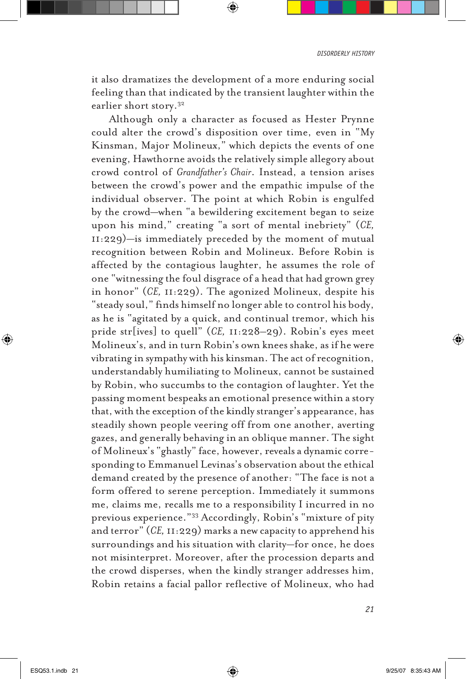it also dramatizes the development of a more enduring social feeling than that indicated by the transient laughter within the earlier short story.32

Although only a character as focused as Hester Prynne could alter the crowd's disposition over time, even in "My Kinsman, Major Molineux," which depicts the events of one evening, Hawthorne avoids the relatively simple allegory about crowd control of *Grandfather's Chair*. Instead, a tension arises between the crowd's power and the empathic impulse of the individual observer. The point at which Robin is engulfed by the crowd—when "a bewildering excitement began to seize upon his mind," creating "a sort of mental inebriety" (*CE,* 11:229)—is immediately preceded by the moment of mutual recognition between Robin and Molineux. Before Robin is affected by the contagious laughter, he assumes the role of one "witnessing the foul disgrace of a head that had grown grey in honor" (*CE,* 11:229). The agonized Molineux, despite his "steady soul," finds himself no longer able to control his body, as he is "agitated by a quick, and continual tremor, which his pride str[ives] to quell" (*CE,* 11:228–29). Robin's eyes meet Molineux's, and in turn Robin's own knees shake, as if he were vibrating in sympathy with his kinsman. The act of recognition, understandably humiliating to Molineux, cannot be sustained by Robin, who succumbs to the contagion of laughter. Yet the passing moment bespeaks an emotional presence within a story that, with the exception of the kindly stranger's appearance, has steadily shown people veering off from one another, averting gazes, and generally behaving in an oblique manner. The sight of Molineux's "ghastly" face, however, reveals a dynamic corresponding to Emmanuel Levinas's observation about the ethical demand created by the presence of another: "The face is not a form offered to serene perception. Immediately it summons me, claims me, recalls me to a responsibility I incurred in no previous experience."33 Accordingly, Robin's "mixture of pity and terror" (*CE,* 11:229) marks a new capacity to apprehend his surroundings and his situation with clarity—for once, he does not misinterpret. Moreover, after the procession departs and the crowd disperses, when the kindly stranger addresses him, Robin retains a facial pallor reflective of Molineux, who had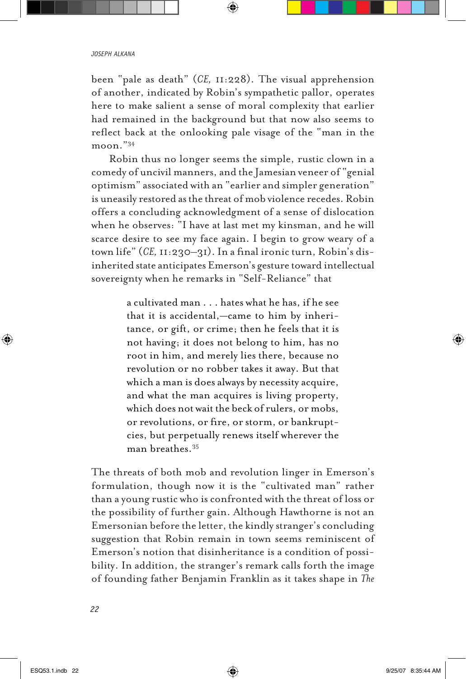been "pale as death" (*CE,* 11:228). The visual apprehension of another, indicated by Robin's sympathetic pallor, operates here to make salient a sense of moral complexity that earlier had remained in the background but that now also seems to reflect back at the onlooking pale visage of the "man in the moon."34

Robin thus no longer seems the simple, rustic clown in a comedy of uncivil manners, and the Jamesian veneer of "genial optimism" associated with an "earlier and simpler generation" is uneasily restored as the threat of mob violence recedes. Robin offers a concluding acknowledgment of a sense of dislocation when he observes: "I have at last met my kinsman, and he will scarce desire to see my face again. I begin to grow weary of a town life" (*CE,* 11:230–31). In a final ironic turn, Robin's disinherited state anticipates Emerson's gesture toward intellectual sovereignty when he remarks in "Self-Reliance" that

> a cultivated man . . . hates what he has, if he see that it is accidental,—came to him by inheritance, or gift, or crime; then he feels that it is not having; it does not belong to him, has no root in him, and merely lies there, because no revolution or no robber takes it away. But that which a man is does always by necessity acquire, and what the man acquires is living property, which does not wait the beck of rulers, or mobs, or revolutions, or fire, or storm, or bankruptcies, but perpetually renews itself wherever the man breathes.35

The threats of both mob and revolution linger in Emerson's formulation, though now it is the "cultivated man" rather than a young rustic who is confronted with the threat of loss or the possibility of further gain. Although Hawthorne is not an Emersonian before the letter, the kindly stranger's concluding suggestion that Robin remain in town seems reminiscent of Emerson's notion that disinheritance is a condition of possibility. In addition, the stranger's remark calls forth the image of founding father Benjamin Franklin as it takes shape in *The*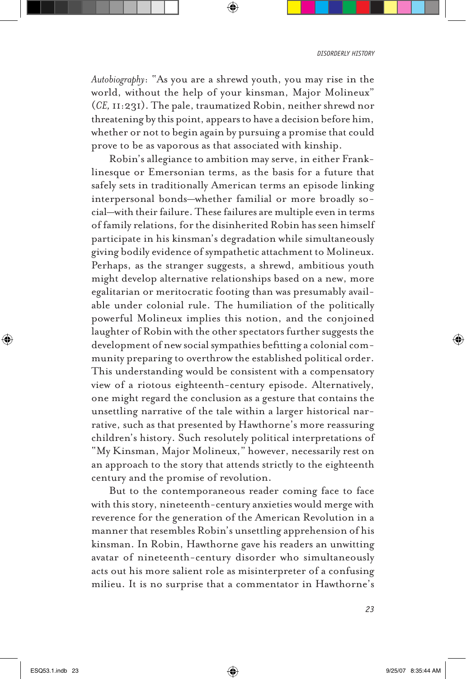*Autobiography*: "As you are a shrewd youth, you may rise in the world, without the help of your kinsman, Major Molineux" (*CE,* 11:231). The pale, traumatized Robin, neither shrewd nor threatening by this point, appears to have a decision before him, whether or not to begin again by pursuing a promise that could prove to be as vaporous as that associated with kinship.

Robin's allegiance to ambition may serve, in either Franklinesque or Emersonian terms, as the basis for a future that safely sets in traditionally American terms an episode linking interpersonal bonds—whether familial or more broadly social—with their failure. These failures are multiple even in terms of family relations, for the disinherited Robin has seen himself participate in his kinsman's degradation while simultaneously giving bodily evidence of sympathetic attachment to Molineux. Perhaps, as the stranger suggests, a shrewd, ambitious youth might develop alternative relationships based on a new, more egalitarian or meritocratic footing than was presumably available under colonial rule. The humiliation of the politically powerful Molineux implies this notion, and the conjoined laughter of Robin with the other spectators further suggests the development of new social sympathies befitting a colonial community preparing to overthrow the established political order. This understanding would be consistent with a compensatory view of a riotous eighteenth-century episode. Alternatively, one might regard the conclusion as a gesture that contains the unsettling narrative of the tale within a larger historical narrative, such as that presented by Hawthorne's more reassuring children's history. Such resolutely political interpretations of "My Kinsman, Major Molineux," however, necessarily rest on an approach to the story that attends strictly to the eighteenth century and the promise of revolution.

But to the contemporaneous reader coming face to face with this story, nineteenth-century anxieties would merge with reverence for the generation of the American Revolution in a manner that resembles Robin's unsettling apprehension of his kinsman. In Robin, Hawthorne gave his readers an unwitting avatar of nineteenth-century disorder who simultaneously acts out his more salient role as misinterpreter of a confusing milieu. It is no surprise that a commentator in Hawthorne's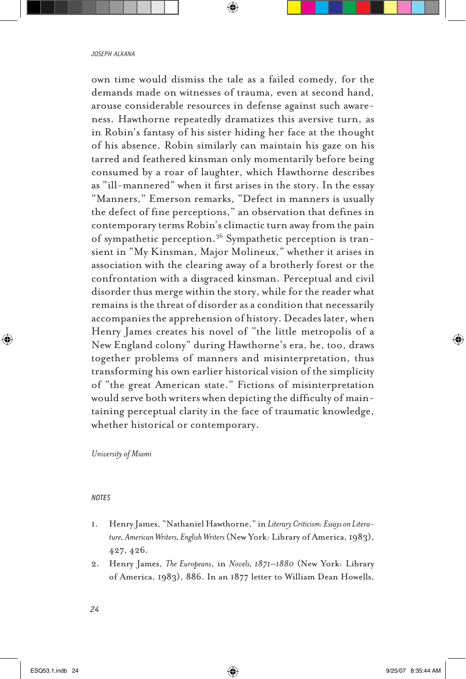own time would dismiss the tale as a failed comedy, for the demands made on witnesses of trauma, even at second hand, arouse considerable resources in defense against such awareness. Hawthorne repeatedly dramatizes this aversive turn, as in Robin's fantasy of his sister hiding her face at the thought of his absence. Robin similarly can maintain his gaze on his tarred and feathered kinsman only momentarily before being consumed by a roar of laughter, which Hawthorne describes as "ill-mannered" when it first arises in the story. In the essay "Manners," Emerson remarks, "Defect in manners is usually the defect of fine perceptions," an observation that defines in contemporary terms Robin's climactic turn away from the pain of sympathetic perception.36 Sympathetic perception is transient in "My Kinsman, Major Molineux," whether it arises in association with the clearing away of a brotherly forest or the confrontation with a disgraced kinsman. Perceptual and civil disorder thus merge within the story, while for the reader what remains is the threat of disorder as a condition that necessarily accompanies the apprehension of history. Decades later, when Henry James creates his novel of "the little metropolis of a New England colony" during Hawthorne's era, he, too, draws together problems of manners and misinterpretation, thus transforming his own earlier historical vision of the simplicity of "the great American state." Fictions of misinterpretation would serve both writers when depicting the difficulty of maintaining perceptual clarity in the face of traumatic knowledge, whether historical or contemporary.

# *University of Miami*

# *Notes*

- 1. Henry James, "Nathaniel Hawthorne," in *Literary Criticism: Essays on Literature, American Writers, English Writers* (New York: Library of America, 1983), 427, 426.
- 2. Henry James, *The Europeans*, in *Novels, 1871–1880* (New York: Library of America, 1983), 886. In an 1877 letter to William Dean Howells,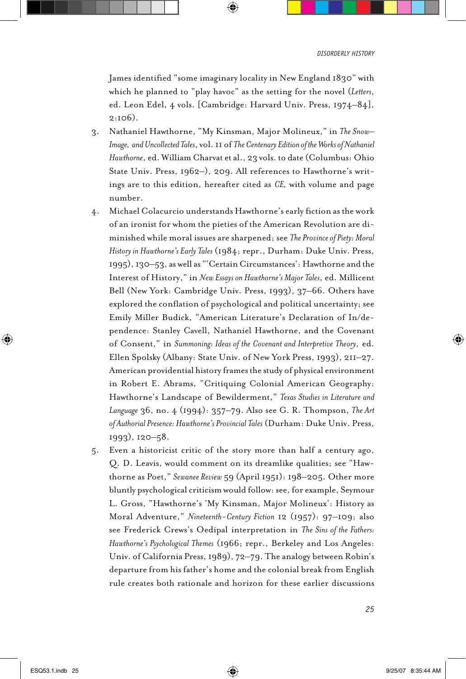James identified "some imaginary locality in New England 1830" with which he planned to "play havoc" as the setting for the novel (*Letters*, ed. Leon Edel, 4 vols. [Cambridge: Harvard Univ. Press, 1974–84], 2:106).

- 3. Nathaniel Hawthorne, "My Kinsman, Major Molineux," in *The Snow– Image, and Uncollected Tales*, vol. 11 of *The Centenary Edition of the Works of Nathaniel Hawthorne*, ed. William Charvat et al., 23 vols. to date (Columbus: Ohio State Univ. Press, 1962–), 209. All references to Hawthorne's writings are to this edition, hereafter cited as *CE,* with volume and page number.
- 4. Michael Colacurcio understands Hawthorne's early fiction as the work of an ironist for whom the pieties of the American Revolution are diminished while moral issues are sharpened; see *The Province of Piety: Moral History in Hawthorne's Early Tales* (1984; repr., Durham: Duke Univ. Press, 1995), 130–53, as well as "'Certain Circumstances': Hawthorne and the Interest of History," in *New Essays on Hawthorne's Major Tales*, ed. Millicent Bell (New York: Cambridge Univ. Press, 1993), 37–66. Others have explored the conflation of psychological and political uncertainty; see Emily Miller Budick, "American Literature's Declaration of In/dependence: Stanley Cavell, Nathaniel Hawthorne, and the Covenant of Consent," in *Summoning: Ideas of the Covenant and Interpretive Theory*, ed. Ellen Spolsky (Albany: State Univ. of New York Press, 1993), 211–27. American providential history frames the study of physical environment in Robert E. Abrams, "Critiquing Colonial American Geography: Hawthorne's Landscape of Bewilderment," *Texas Studies in Literature and Language* 36, no. 4 (1994): 357–79. Also see G. R. Thompson, *The Art of Authorial Presence: Hawthorne's Provincial Tales* (Durham: Duke Univ. Press, 1993), 120–58.
- 5. Even a historicist critic of the story more than half a century ago, Q. D. Leavis, would comment on its dreamlike qualities; see "Hawthorne as Poet," *Sewanee Review* 59 (April 1951): 198–205. Other more bluntly psychological criticism would follow: see, for example, Seymour L. Gross, "Hawthorne's 'My Kinsman, Major Molineux': History as Moral Adventure," *Nineteenth-Century Fiction* 12 (1957): 97–109; also see Frederick Crews's Oedipal interpretation in *The Sins of the Fathers: Hawthorne's Psychological Themes* (1966; repr., Berkeley and Los Angeles: Univ. of California Press, 1989), 72–79. The analogy between Robin's departure from his father's home and the colonial break from English rule creates both rationale and horizon for these earlier discussions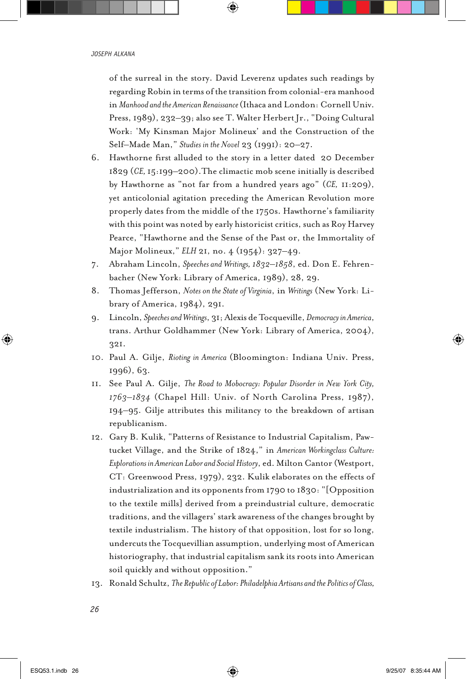of the surreal in the story. David Leverenz updates such readings by regarding Robin in terms of the transition from colonial-era manhood in *Manhood and the American Renaissance* (Ithaca and London: Cornell Univ. Press, 1989), 232–39; also see T. Walter Herbert Jr., "Doing Cultural Work: 'My Kinsman Major Molineux' and the Construction of the Self–Made Man," *Studies in the Novel* 23 (1991): 20–27.

- 6. Hawthorne first alluded to the story in a letter dated 20 December 1829 (*CE,* 15:199–200).The climactic mob scene initially is described by Hawthorne as "not far from a hundred years ago" (*CE,* 11:209), yet anticolonial agitation preceding the American Revolution more properly dates from the middle of the 1750s. Hawthorne's familiarity with this point was noted by early historicist critics, such as Roy Harvey Pearce, "Hawthorne and the Sense of the Past or, the Immortality of Major Molineux," *ELH* 21, no. 4 (1954): 327–49.
- 7. Abraham Lincoln, *Speeches and Writings, 1832–1858*, ed. Don E. Fehrenbacher (New York: Library of America, 1989), 28, 29.
- 8. Thomas Jefferson, *Notes on the State of Virginia*, in *Writings* (New York: Library of America, 1984), 291.
- 9. Lincoln, *Speeches and Writings*, 31; Alexis de Tocqueville, *Democracy in America*, trans. Arthur Goldhammer (New York: Library of America, 2004), 321.
- 10. Paul A. Gilje, *Rioting in America* (Bloomington: Indiana Univ. Press, 1996), 63.
- 11. See Paul A. Gilje, *The Road to Mobocracy: Popular Disorder in New York City, 1763–1834* (Chapel Hill: Univ. of North Carolina Press, 1987), 194–95. Gilje attributes this militancy to the breakdown of artisan republicanism.
- 12. Gary B. Kulik, "Patterns of Resistance to Industrial Capitalism, Pawtucket Village, and the Strike of 1824," in *American Workingclass Culture: Explorations in American Labor and Social History*, ed. Milton Cantor (Westport, CT: Greenwood Press, 1979), 232. Kulik elaborates on the effects of industrialization and its opponents from 1790 to 1830: "[Opposition to the textile mills] derived from a preindustrial culture, democratic traditions, and the villagers' stark awareness of the changes brought by textile industrialism. The history of that opposition, lost for so long, undercuts the Tocquevillian assumption, underlying most of American historiography, that industrial capitalism sank its roots into American soil quickly and without opposition."
- 13. Ronald Schultz, *The Republic of Labor: Philadelphia Artisans and the Politics of Class,*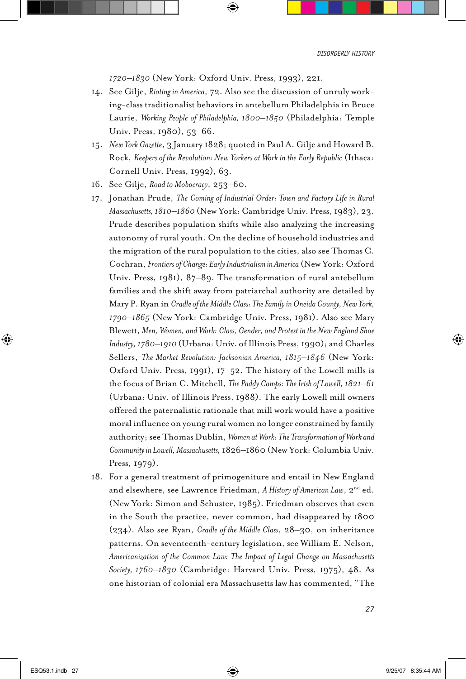*1720–1830* (New York: Oxford Univ. Press, 1993), 221.

- 14. See Gilje, *Rioting in America*, 72. Also see the discussion of unruly working-class traditionalist behaviors in antebellum Philadelphia in Bruce Laurie, *Working People of Philadelphia, 1800–1850* (Philadelphia: Temple Univ. Press, 1980), 53–66.
- 15. *New York Gazette*, 3 January 1828; quoted in Paul A. Gilje and Howard B. Rock, *Keepers of the Revolution: New Yorkers at Work in the Early Republic* (Ithaca: Cornell Univ. Press, 1992), 63.
- 16. See Gilje, *Road to Mobocracy*, 253–60.
- 17. Jonathan Prude, *The Coming of Industrial Order: Town and Factory Life in Rural Massachusetts, 1810–1860* (New York: Cambridge Univ. Press, 1983), 23. Prude describes population shifts while also analyzing the increasing autonomy of rural youth. On the decline of household industries and the migration of the rural population to the cities, also see Thomas C. Cochran, *Frontiers of Change: Early Industrialism in America* (New York: Oxford Univ. Press, 1981), 87–89. The transformation of rural antebellum families and the shift away from patriarchal authority are detailed by Mary P. Ryan in *Cradle of the Middle Class: The Family in Oneida County, New York, 1790–1865* (New York: Cambridge Univ. Press, 1981). Also see Mary Blewett, *Men, Women, and Work: Class, Gender, and Protest in the New England Shoe Industry, 1780–1910* (Urbana: Univ. of Illinois Press, 1990); and Charles Sellers, *The Market Revolution: Jacksonian America, 1815–1846* (New York: Oxford Univ. Press, 1991), 17–52. The history of the Lowell mills is the focus of Brian C. Mitchell, *The Paddy Camps: The Irish of Lowell, 1821–61* (Urbana: Univ. of Illinois Press, 1988). The early Lowell mill owners offered the paternalistic rationale that mill work would have a positive moral influence on young rural women no longer constrained by family authority; see Thomas Dublin, *Women at Work: The Transformation of Work and Community in Lowell, Massachusetts,* 1826–1860 (New York: Columbia Univ. Press, 1979).
- 18. For a general treatment of primogeniture and entail in New England and elsewhere, see Lawrence Friedman, *A History of American Law*, 2<sup>nd</sup> ed. (New York: Simon and Schuster, 1985). Friedman observes that even in the South the practice, never common, had disappeared by 1800 (234). Also see Ryan, *Cradle of the Middle Class*, 28–30, on inheritance patterns. On seventeenth-century legislation, see William E. Nelson, *Americanization of the Common Law: The Impact of Legal Change on Massachusetts Society, 1760–1830* (Cambridge: Harvard Univ. Press, 1975), 48. As one historian of colonial era Massachusetts law has commented, "The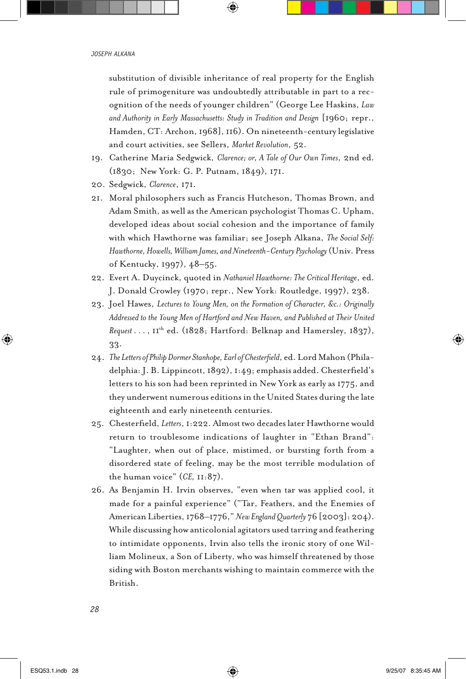substitution of divisible inheritance of real property for the English rule of primogeniture was undoubtedly attributable in part to a recognition of the needs of younger children" (George Lee Haskins, *Law and Authority in Early Massachusetts: Study in Tradition and Design* [1960; repr., Hamden, CT: Archon, 1968], 116). On nineteenth-century legislative and court activities, see Sellers, *Market Revolution*, 52.

- 19. Catherine Maria Sedgwick, *Clarence; or, A Tale of Our Own Times*, 2nd ed. (1830; New York: G. P. Putnam, 1849), 171.
- 20. Sedgwick, *Clarence*, 171.
- 21. Moral philosophers such as Francis Hutcheson, Thomas Brown, and Adam Smith, as well as the American psychologist Thomas C. Upham, developed ideas about social cohesion and the importance of family with which Hawthorne was familiar; see Joseph Alkana, *The Social Self: Hawthorne, Howells, William James, and Nineteenth-Century Psychology* (Univ. Press of Kentucky, 1997), 48–55.
- 22. Evert A. Duycinck, quoted in *Nathaniel Hawthorne: The Critical Heritage*, ed. J. Donald Crowley (1970; repr., New York: Routledge, 1997), 238.
- 23. Joel Hawes, *Lectures to Young Men, on the Formation of Character, &c.: Originally Addressed to the Young Men of Hartford and New Haven, and Published at Their United Request . . . ,* 11th ed. (1828; Hartford: Belknap and Hamersley, 1837), 33.
- 24. *The Letters of Philip Dormer Stanhope, Earl of Chesterfield*, ed. Lord Mahon (Philadelphia: J. B. Lippincott, 1892), 1:49; emphasis added. Chesterfield's letters to his son had been reprinted in New York as early as 1775, and they underwent numerous editions in the United States during the late eighteenth and early nineteenth centuries.
- 25. Chesterfield, *Letters*, 1:222. Almost two decades later Hawthorne would return to troublesome indications of laughter in "Ethan Brand": "Laughter, when out of place, mistimed, or bursting forth from a disordered state of feeling, may be the most terrible modulation of the human voice" (*CE,* 11:87).
- 26. As Benjamin H. Irvin observes, "even when tar was applied cool, it made for a painful experience" ("Tar, Feathers, and the Enemies of American Liberties, 1768–1776," *New England Quarterly* 76 [2003]: 204). While discussing how anticolonial agitators used tarring and feathering to intimidate opponents, Irvin also tells the ironic story of one William Molineux, a Son of Liberty, who was himself threatened by those siding with Boston merchants wishing to maintain commerce with the British.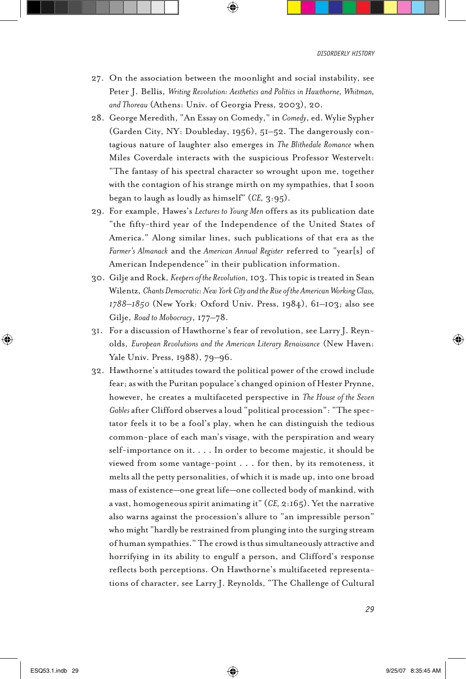- 27. On the association between the moonlight and social instability, see Peter J. Bellis, *Writing Revolution: Aesthetics and Politics in Hawthorne, Whitman, and Thoreau* (Athens: Univ. of Georgia Press, 2003), 20.
- 28. George Meredith, "An Essay on Comedy," in *Comedy*, ed. Wylie Sypher (Garden City, NY: Doubleday, 1956), 51–52. The dangerously contagious nature of laughter also emerges in *The Blithedale Romance* when Miles Coverdale interacts with the suspicious Professor Westervelt: "The fantasy of his spectral character so wrought upon me, together with the contagion of his strange mirth on my sympathies, that I soon began to laugh as loudly as himself" (*CE,* 3:95).
- 29. For example, Hawes's *Lectures to Young Men* offers as its publication date "the fifty-third year of the Independence of the United States of America." Along similar lines, such publications of that era as the *Farmer's Almanack* and the *American Annual Register* referred to "year[s] of American Independence" in their publication information.
- 30. Gilje and Rock, *Keepers of the Revolution*, 103. This topic is treated in Sean Wilentz, *Chants Democratic: New York City and the Rise of the American Working Class, 1788–1850* (New York: Oxford Univ. Press, 1984), 61–103; also see Gilje, *Road to Mobocracy*, 177–78.
- 31. For a discussion of Hawthorne's fear of revolution, see Larry J. Reynolds, *European Revolutions and the American Literary Renaissance* (New Haven: Yale Univ. Press, 1988), 79–96.
- 32. Hawthorne's attitudes toward the political power of the crowd include fear; as with the Puritan populace's changed opinion of Hester Prynne, however, he creates a multifaceted perspective in *The House of the Seven Gables* after Clifford observes a loud "political procession": "The spectator feels it to be a fool's play, when he can distinguish the tedious common-place of each man's visage, with the perspiration and weary self-importance on it. . . . In order to become majestic, it should be viewed from some vantage-point . . . for then, by its remoteness, it melts all the petty personalities, of which it is made up, into one broad mass of existence—one great life—one collected body of mankind, with a vast, homogeneous spirit animating it" (*CE,* 2:165). Yet the narrative also warns against the procession's allure to "an impressible person" who might "hardly be restrained from plunging into the surging stream of human sympathies." The crowd is thus simultaneously attractive and horrifying in its ability to engulf a person, and Clifford's response reflects both perceptions. On Hawthorne's multifaceted representations of character, see Larry J. Reynolds, "The Challenge of Cultural